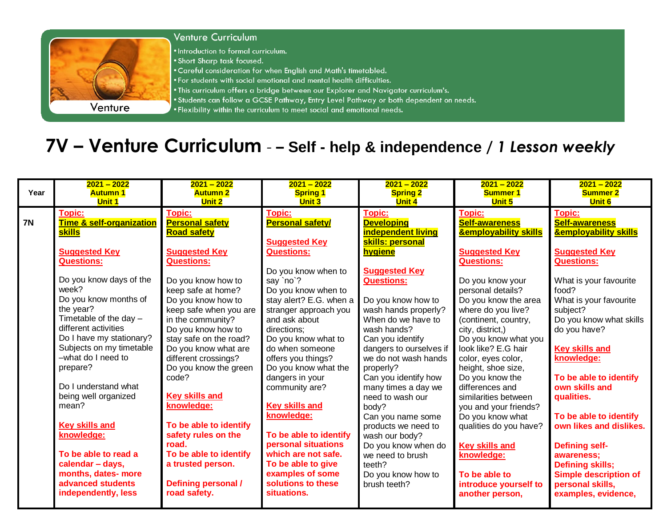

- . Careful consideration for when English and Math's timetabled.
- . For students with social emotional and mental health difficulties.
- . This curriculum offers a bridge between our Explorer and Navigator curriculum's.
- . Students can follow a GCSE Pathway, Entry Level Pathway or both dependent on needs.
- . Flexibility within the curriculum to meet social and emotional needs.

## 7V - Venture Curriculum - - Self - help & independence / 1 Lesson weekly

| Year      | $2021 - 2022$                                                                                                                                                                                                                                                                                                                                                                                                                                                                                                                               | $2021 - 2022$                                                                                                                                                                                                                                                                                                                                                                                                                                                                                                                                 | $2021 - 2022$                                                                                                                                                                                                                                                                                                                                                                                                                                                                                                                                                   | $2021 - 2022$                                                                                                                                                                                                                                                                                                                                                                                                                                                                                                                                           | $2021 - 2022$                                                                                                                                                                                                                                                                                                                                                                                                                                                                                                                                                                                         | $2021 - 2022$                                                                                                                                                                                                                                                                                                                                                                                                                                                                                                                                  |
|-----------|---------------------------------------------------------------------------------------------------------------------------------------------------------------------------------------------------------------------------------------------------------------------------------------------------------------------------------------------------------------------------------------------------------------------------------------------------------------------------------------------------------------------------------------------|-----------------------------------------------------------------------------------------------------------------------------------------------------------------------------------------------------------------------------------------------------------------------------------------------------------------------------------------------------------------------------------------------------------------------------------------------------------------------------------------------------------------------------------------------|-----------------------------------------------------------------------------------------------------------------------------------------------------------------------------------------------------------------------------------------------------------------------------------------------------------------------------------------------------------------------------------------------------------------------------------------------------------------------------------------------------------------------------------------------------------------|---------------------------------------------------------------------------------------------------------------------------------------------------------------------------------------------------------------------------------------------------------------------------------------------------------------------------------------------------------------------------------------------------------------------------------------------------------------------------------------------------------------------------------------------------------|-------------------------------------------------------------------------------------------------------------------------------------------------------------------------------------------------------------------------------------------------------------------------------------------------------------------------------------------------------------------------------------------------------------------------------------------------------------------------------------------------------------------------------------------------------------------------------------------------------|------------------------------------------------------------------------------------------------------------------------------------------------------------------------------------------------------------------------------------------------------------------------------------------------------------------------------------------------------------------------------------------------------------------------------------------------------------------------------------------------------------------------------------------------|
|           | <b>Autumn 1</b>                                                                                                                                                                                                                                                                                                                                                                                                                                                                                                                             | <b>Autumn 2</b>                                                                                                                                                                                                                                                                                                                                                                                                                                                                                                                               | <b>Spring 1</b>                                                                                                                                                                                                                                                                                                                                                                                                                                                                                                                                                 | <b>Spring 2</b>                                                                                                                                                                                                                                                                                                                                                                                                                                                                                                                                         | <b>Summer 1</b>                                                                                                                                                                                                                                                                                                                                                                                                                                                                                                                                                                                       | <b>Summer 2</b>                                                                                                                                                                                                                                                                                                                                                                                                                                                                                                                                |
|           | <b>Unit 1</b>                                                                                                                                                                                                                                                                                                                                                                                                                                                                                                                               | <b>Unit 2</b>                                                                                                                                                                                                                                                                                                                                                                                                                                                                                                                                 | <b>Unit 3</b>                                                                                                                                                                                                                                                                                                                                                                                                                                                                                                                                                   | <b>Unit 4</b>                                                                                                                                                                                                                                                                                                                                                                                                                                                                                                                                           | <b>Unit 5</b>                                                                                                                                                                                                                                                                                                                                                                                                                                                                                                                                                                                         | <b>Unit 6</b>                                                                                                                                                                                                                                                                                                                                                                                                                                                                                                                                  |
| <b>7N</b> | Topic:<br><b>Time &amp; self-organization</b><br>skills<br><b>Suggested Key</b><br><b>Questions:</b><br>Do you know days of the<br>week?<br>Do you know months of<br>the year?<br>Timetable of the day $-$<br>different activities<br>Do I have my stationary?<br>Subjects on my timetable<br>-what do I need to<br>prepare?<br>Do I understand what<br>being well organized<br>mean?<br><b>Key skills and</b><br>knowledge:<br>To be able to read a<br>calendar - days,<br>months, dates- more<br>advanced students<br>independently, less | Topic:<br><b>Personal safety</b><br><b>Road safety</b><br><b>Suggested Key</b><br><b>Questions:</b><br>Do you know how to<br>keep safe at home?<br>Do you know how to<br>keep safe when you are<br>in the community?<br>Do you know how to<br>stay safe on the road?<br>Do you know what are<br>different crossings?<br>Do you know the green<br>code?<br><b>Key skills and</b><br>knowledge:<br>To be able to identify<br>safety rules on the<br>road.<br>To be able to identify<br>a trusted person.<br>Defining personal /<br>road safety. | <b>Topic:</b><br><b>Personal safety/</b><br><b>Suggested Key</b><br><b>Questions:</b><br>Do you know when to<br>say `no`?<br>Do you know when to<br>stay alert? E.G. when a<br>stranger approach you<br>and ask about<br>directions:<br>Do you know what to<br>do when someone<br>offers you things?<br>Do you know what the<br>dangers in your<br>community are?<br><b>Key skills and</b><br>knowledge:<br>To be able to identify<br>personal situations<br>which are not safe.<br>To be able to give<br>examples of some<br>solutions to these<br>situations. | <b>Topic:</b><br><b>Developing</b><br><b>independent living</b><br>skills: personal<br>hygiene<br><b>Suggested Key</b><br><b>Questions:</b><br>Do you know how to<br>wash hands properly?<br>When do we have to<br>wash hands?<br>Can you identify<br>dangers to ourselves if<br>we do not wash hands<br>properly?<br>Can you identify how<br>many times a day we<br>need to wash our<br>body?<br>Can you name some<br>products we need to<br>wash our body?<br>Do you know when do<br>we need to brush<br>teeth?<br>Do you know how to<br>brush teeth? | <b>Topic:</b><br><b>Self-awareness</b><br><b><u>&amp;employability skills</u></b><br><b>Suggested Key</b><br><b>Questions:</b><br>Do you know your<br>personal details?<br>Do you know the area<br>where do you live?<br>(continent, country,<br>city, district,)<br>Do you know what you<br>look like? E.G hair<br>color, eyes color,<br>height, shoe size,<br>Do you know the<br>differences and<br>similarities between<br>you and your friends?<br>Do you know what<br>qualities do you have?<br><b>Key skills and</b><br>knowledge:<br>To be able to<br>introduce yourself to<br>another person, | <b>Topic:</b><br><b>Self-awareness</b><br><b>&amp;employability skills</b><br><b>Suggested Key</b><br><b>Questions:</b><br>What is your favourite<br>food?<br>What is your favourite<br>subject?<br>Do you know what skills<br>do you have?<br><b>Key skills and</b><br>knowledge:<br>To be able to identify<br>own skills and<br>qualities.<br>To be able to identify<br>own likes and dislikes.<br><b>Defining self-</b><br>awareness;<br><b>Defining skills;</b><br><b>Simple description of</b><br>personal skills,<br>examples, evidence, |